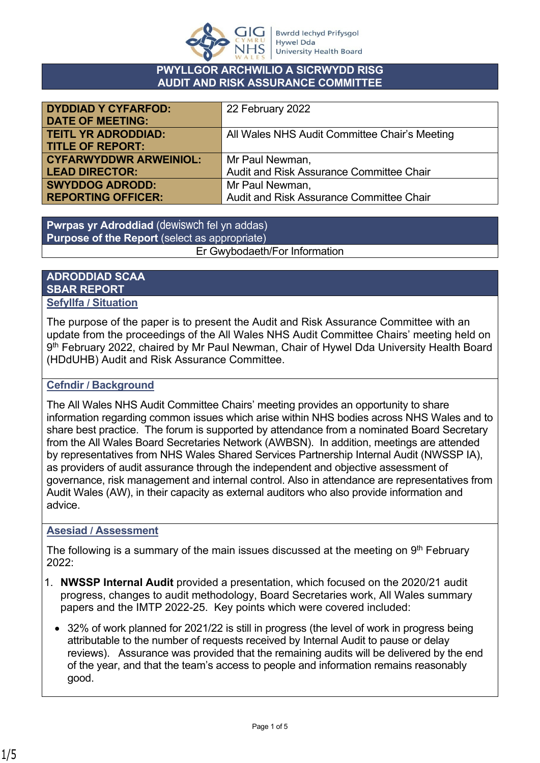

#### **PWYLLGOR ARCHWILIO A SICRWYDD RISG AUDIT AND RISK ASSURANCE COMMITTEE**

| <b>DYDDIAD Y CYFARFOD:</b>    | 22 February 2022                              |
|-------------------------------|-----------------------------------------------|
| <b>DATE OF MEETING:</b>       |                                               |
| <b>TEITL YR ADRODDIAD:</b>    | All Wales NHS Audit Committee Chair's Meeting |
| <b>TITLE OF REPORT:</b>       |                                               |
| <b>CYFARWYDDWR ARWEINIOL:</b> | Mr Paul Newman,                               |
| <b>LEAD DIRECTOR:</b>         | Audit and Risk Assurance Committee Chair      |
| <b>SWYDDOG ADRODD:</b>        | Mr Paul Newman,                               |
| <b>REPORTING OFFICER:</b>     | Audit and Risk Assurance Committee Chair      |

**Pwrpas yr Adroddiad** (dewiswch fel yn addas) **Purpose of the Report** (select as appropriate) Er Gwybodaeth/For Information

#### **ADRODDIAD SCAA SBAR REPORT Sefyllfa / Situation**

The purpose of the paper is to present the Audit and Risk Assurance Committee with an update from the proceedings of the All Wales NHS Audit Committee Chairs' meeting held on 9 th February 2022, chaired by Mr Paul Newman, Chair of Hywel Dda University Health Board (HDdUHB) Audit and Risk Assurance Committee.

## **Cefndir / Background**

The All Wales NHS Audit Committee Chairs' meeting provides an opportunity to share information regarding common issues which arise within NHS bodies across NHS Wales and to share best practice. The forum is supported by attendance from a nominated Board Secretary from the All Wales Board Secretaries Network (AWBSN). In addition, meetings are attended by representatives from NHS Wales Shared Services Partnership Internal Audit (NWSSP IA), as providers of audit assurance through the independent and objective assessment of governance, risk management and internal control. Also in attendance are representatives from Audit Wales (AW), in their capacity as external auditors who also provide information and advice.

## **Asesiad / Assessment**

The following is a summary of the main issues discussed at the meeting on 9<sup>th</sup> February 2022:

- 1. **NWSSP Internal Audit** provided a presentation, which focused on the 2020/21 audit progress, changes to audit methodology, Board Secretaries work, All Wales summary papers and the IMTP 2022-25. Key points which were covered included:
	- 32% of work planned for 2021/22 is still in progress (the level of work in progress being attributable to the number of requests received by Internal Audit to pause or delay reviews). Assurance was provided that the remaining audits will be delivered by the end of the year, and that the team's access to people and information remains reasonably good.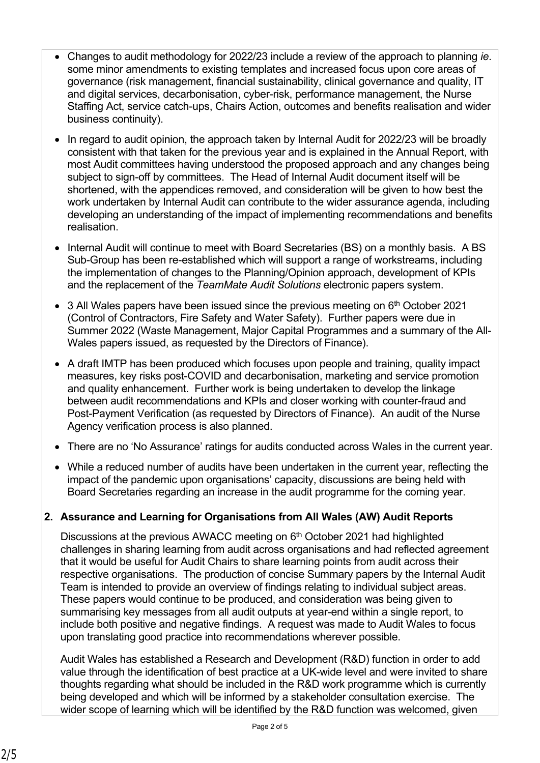- Changes to audit methodology for 2022/23 include a review of the approach to planning *ie*. some minor amendments to existing templates and increased focus upon core areas of governance (risk management, financial sustainability, clinical governance and quality, IT and digital services, decarbonisation, cyber-risk, performance management, the Nurse Staffing Act, service catch-ups, Chairs Action, outcomes and benefits realisation and wider business continuity).
- In regard to audit opinion, the approach taken by Internal Audit for 2022/23 will be broadly consistent with that taken for the previous year and is explained in the Annual Report, with most Audit committees having understood the proposed approach and any changes being subject to sign-off by committees. The Head of Internal Audit document itself will be shortened, with the appendices removed, and consideration will be given to how best the work undertaken by Internal Audit can contribute to the wider assurance agenda, including developing an understanding of the impact of implementing recommendations and benefits realisation.
- Internal Audit will continue to meet with Board Secretaries (BS) on a monthly basis. A BS Sub-Group has been re-established which will support a range of workstreams, including the implementation of changes to the Planning/Opinion approach, development of KPIs and the replacement of the *TeamMate Audit Solutions* electronic papers system.
- $\bullet$  3 All Wales papers have been issued since the previous meeting on 6<sup>th</sup> October 2021 (Control of Contractors, Fire Safety and Water Safety). Further papers were due in Summer 2022 (Waste Management, Major Capital Programmes and a summary of the All-Wales papers issued, as requested by the Directors of Finance).
- A draft IMTP has been produced which focuses upon people and training, quality impact measures, key risks post-COVID and decarbonisation, marketing and service promotion and quality enhancement. Further work is being undertaken to develop the linkage between audit recommendations and KPIs and closer working with counter-fraud and Post-Payment Verification (as requested by Directors of Finance). An audit of the Nurse Agency verification process is also planned.
- There are no 'No Assurance' ratings for audits conducted across Wales in the current year.
- While a reduced number of audits have been undertaken in the current year, reflecting the impact of the pandemic upon organisations' capacity, discussions are being held with Board Secretaries regarding an increase in the audit programme for the coming year.

# **2. Assurance and Learning for Organisations from All Wales (AW) Audit Reports**

Discussions at the previous AWACC meeting on 6<sup>th</sup> October 2021 had highlighted challenges in sharing learning from audit across organisations and had reflected agreement that it would be useful for Audit Chairs to share learning points from audit across their respective organisations. The production of concise Summary papers by the Internal Audit Team is intended to provide an overview of findings relating to individual subject areas. These papers would continue to be produced, and consideration was being given to summarising key messages from all audit outputs at year-end within a single report, to include both positive and negative findings. A request was made to Audit Wales to focus upon translating good practice into recommendations wherever possible.

Audit Wales has established a Research and Development (R&D) function in order to add value through the identification of best practice at a UK-wide level and were invited to share thoughts regarding what should be included in the R&D work programme which is currently being developed and which will be informed by a stakeholder consultation exercise. The wider scope of learning which will be identified by the R&D function was welcomed, given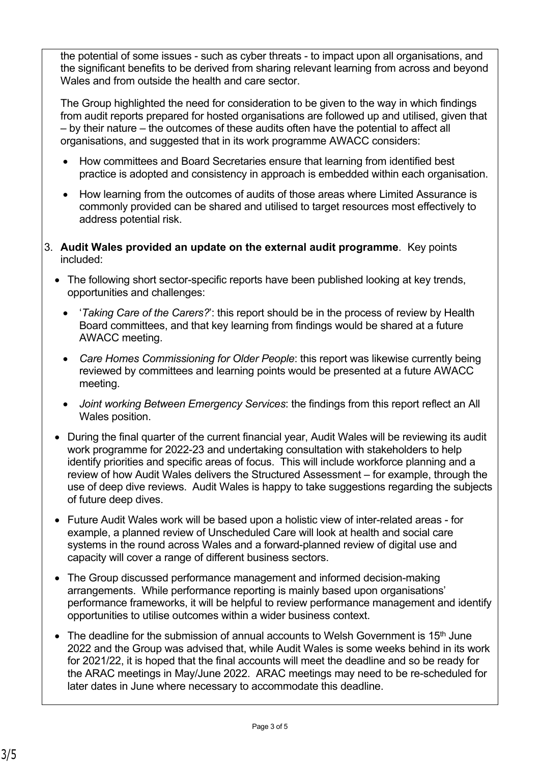the potential of some issues - such as cyber threats - to impact upon all organisations, and the significant benefits to be derived from sharing relevant learning from across and beyond Wales and from outside the health and care sector.

The Group highlighted the need for consideration to be given to the way in which findings from audit reports prepared for hosted organisations are followed up and utilised, given that – by their nature – the outcomes of these audits often have the potential to affect all organisations, and suggested that in its work programme AWACC considers:

- How committees and Board Secretaries ensure that learning from identified best practice is adopted and consistency in approach is embedded within each organisation.
- How learning from the outcomes of audits of those areas where Limited Assurance is commonly provided can be shared and utilised to target resources most effectively to address potential risk.
- 3. **Audit Wales provided an update on the external audit programme**. Key points included:
	- The following short sector-specific reports have been published looking at key trends, opportunities and challenges:
		- '*Taking Care of the Carers?*': this report should be in the process of review by Health Board committees, and that key learning from findings would be shared at a future AWACC meeting.
		- *Care Homes Commissioning for Older People*: this report was likewise currently being reviewed by committees and learning points would be presented at a future AWACC meeting.
		- *Joint working Between Emergency Services*: the findings from this report reflect an All Wales position.
	- During the final quarter of the current financial year, Audit Wales will be reviewing its audit work programme for 2022-23 and undertaking consultation with stakeholders to help identify priorities and specific areas of focus. This will include workforce planning and a review of how Audit Wales delivers the Structured Assessment – for example, through the use of deep dive reviews. Audit Wales is happy to take suggestions regarding the subjects of future deep dives.
	- Future Audit Wales work will be based upon a holistic view of inter-related areas for example, a planned review of Unscheduled Care will look at health and social care systems in the round across Wales and a forward-planned review of digital use and capacity will cover a range of different business sectors.
	- The Group discussed performance management and informed decision-making arrangements. While performance reporting is mainly based upon organisations' performance frameworks, it will be helpful to review performance management and identify opportunities to utilise outcomes within a wider business context.
	- $\bullet$  The deadline for the submission of annual accounts to Welsh Government is 15<sup>th</sup> June 2022 and the Group was advised that, while Audit Wales is some weeks behind in its work for 2021/22, it is hoped that the final accounts will meet the deadline and so be ready for the ARAC meetings in May/June 2022. ARAC meetings may need to be re-scheduled for later dates in June where necessary to accommodate this deadline.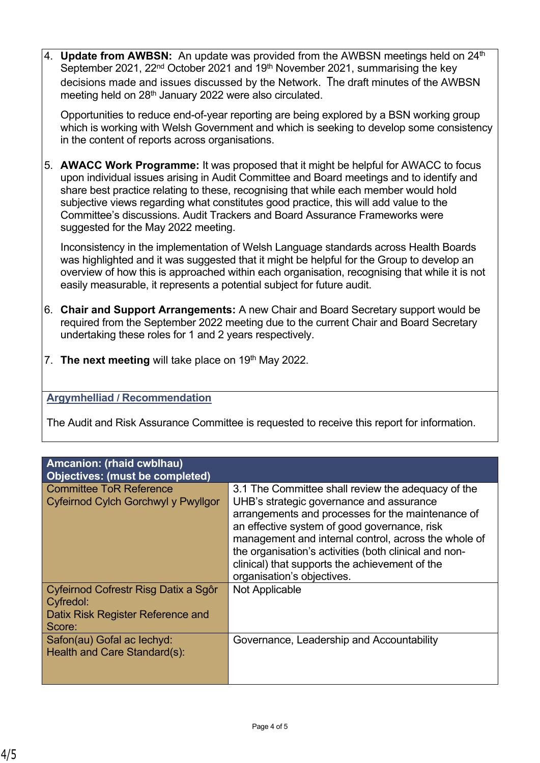4. **Update from AWBSN:** An update was provided from the AWBSN meetings held on 24<sup>th</sup> September 2021, 22<sup>nd</sup> October 2021 and 19<sup>th</sup> November 2021, summarising the key decisions made and issues discussed by the Network. The draft minutes of the AWBSN meeting held on 28<sup>th</sup> January 2022 were also circulated.

Opportunities to reduce end-of-year reporting are being explored by a BSN working group which is working with Welsh Government and which is seeking to develop some consistency in the content of reports across organisations.

5. **AWACC Work Programme:** It was proposed that it might be helpful for AWACC to focus upon individual issues arising in Audit Committee and Board meetings and to identify and share best practice relating to these, recognising that while each member would hold subjective views regarding what constitutes good practice, this will add value to the Committee's discussions. Audit Trackers and Board Assurance Frameworks were suggested for the May 2022 meeting.

Inconsistency in the implementation of Welsh Language standards across Health Boards was highlighted and it was suggested that it might be helpful for the Group to develop an overview of how this is approached within each organisation, recognising that while it is not easily measurable, it represents a potential subject for future audit.

- 6. **Chair and Support Arrangements:** A new Chair and Board Secretary support would be required from the September 2022 meeting due to the current Chair and Board Secretary undertaking these roles for 1 and 2 years respectively.
- 7. **The next meeting** will take place on 19<sup>th</sup> May 2022.

## **Argymhelliad / Recommendation**

The Audit and Risk Assurance Committee is requested to receive this report for information.

| <b>Amcanion: (rhaid cwblhau)</b><br>Objectives: (must be completed)                              |                                                                                                                                                                                                                                                                                                                                                                                                      |
|--------------------------------------------------------------------------------------------------|------------------------------------------------------------------------------------------------------------------------------------------------------------------------------------------------------------------------------------------------------------------------------------------------------------------------------------------------------------------------------------------------------|
| <b>Committee ToR Reference</b><br>Cyfeirnod Cylch Gorchwyl y Pwyllgor                            | 3.1 The Committee shall review the adequacy of the<br>UHB's strategic governance and assurance<br>arrangements and processes for the maintenance of<br>an effective system of good governance, risk<br>management and internal control, across the whole of<br>the organisation's activities (both clinical and non-<br>clinical) that supports the achievement of the<br>organisation's objectives. |
| Cyfeirnod Cofrestr Risg Datix a Sgôr<br>Cyfredol:<br>Datix Risk Register Reference and<br>Score: | Not Applicable                                                                                                                                                                                                                                                                                                                                                                                       |
| Safon(au) Gofal ac lechyd:<br>Health and Care Standard(s):                                       | Governance, Leadership and Accountability                                                                                                                                                                                                                                                                                                                                                            |